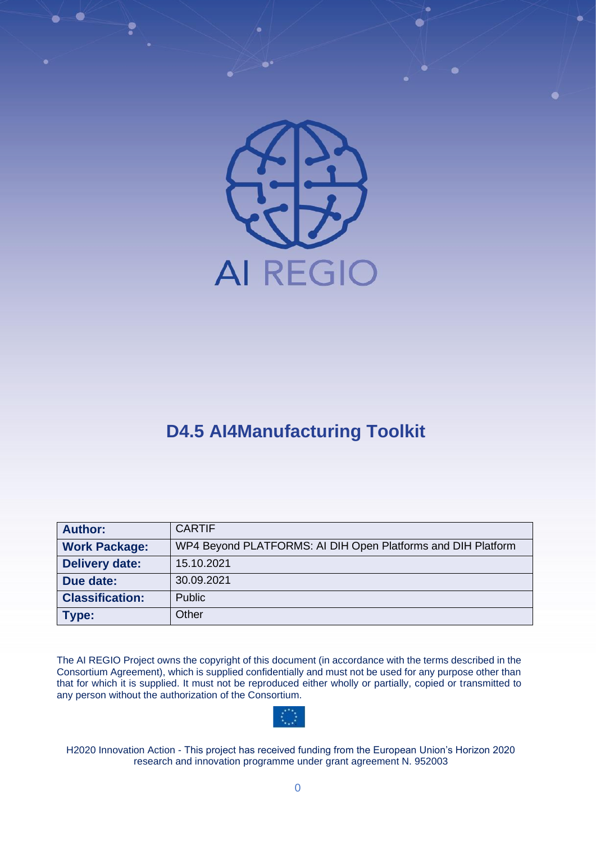

# **D4.5 AI4Manufacturing Toolkit**

| <b>Author:</b>         | <b>CARTIF</b>                                                |
|------------------------|--------------------------------------------------------------|
| <b>Work Package:</b>   | WP4 Beyond PLATFORMS: AI DIH Open Platforms and DIH Platform |
| <b>Delivery date:</b>  | 15.10.2021                                                   |
| Due date:              | 30.09.2021                                                   |
| <b>Classification:</b> | <b>Public</b>                                                |
| Type:                  | Other                                                        |

The AI REGIO Project owns the copyright of this document (in accordance with the terms described in the Consortium Agreement), which is supplied confidentially and must not be used for any purpose other than that for which it is supplied. It must not be reproduced either wholly or partially, copied or transmitted to any person without the authorization of the Consortium.



H2020 Innovation Action - This project has received funding from the European Union's Horizon 2020 research and innovation programme under grant agreement N. 952003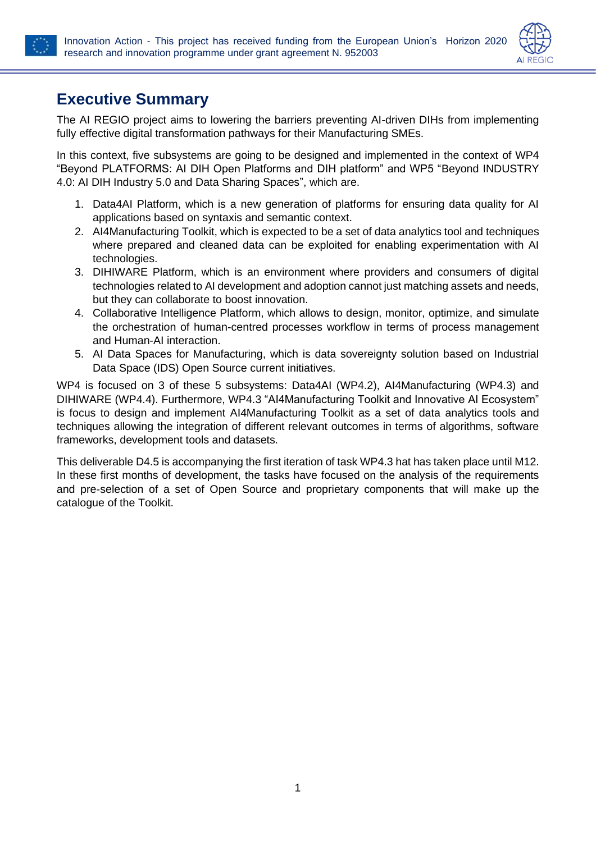



### **Executive Summary**

The AI REGIO project aims to lowering the barriers preventing AI-driven DIHs from implementing fully effective digital transformation pathways for their Manufacturing SMEs.

In this context, five subsystems are going to be designed and implemented in the context of WP4 "Beyond PLATFORMS: AI DIH Open Platforms and DIH platform" and WP5 "Beyond INDUSTRY 4.0: AI DIH Industry 5.0 and Data Sharing Spaces", which are.

- 1. Data4AI Platform, which is a new generation of platforms for ensuring data quality for AI applications based on syntaxis and semantic context.
- 2. AI4Manufacturing Toolkit, which is expected to be a set of data analytics tool and techniques where prepared and cleaned data can be exploited for enabling experimentation with AI technologies.
- 3. DIHIWARE Platform, which is an environment where providers and consumers of digital technologies related to AI development and adoption cannot just matching assets and needs, but they can collaborate to boost innovation.
- 4. Collaborative Intelligence Platform, which allows to design, monitor, optimize, and simulate the orchestration of human-centred processes workflow in terms of process management and Human-AI interaction.
- 5. AI Data Spaces for Manufacturing, which is data sovereignty solution based on Industrial Data Space (IDS) Open Source current initiatives.

WP4 is focused on 3 of these 5 subsystems: Data4AI (WP4.2), AI4Manufacturing (WP4.3) and DIHIWARE (WP4.4). Furthermore, WP4.3 "AI4Manufacturing Toolkit and Innovative AI Ecosystem" is focus to design and implement AI4Manufacturing Toolkit as a set of data analytics tools and techniques allowing the integration of different relevant outcomes in terms of algorithms, software frameworks, development tools and datasets.

This deliverable D4.5 is accompanying the first iteration of task WP4.3 hat has taken place until M12. In these first months of development, the tasks have focused on the analysis of the requirements and pre-selection of a set of Open Source and proprietary components that will make up the catalogue of the Toolkit.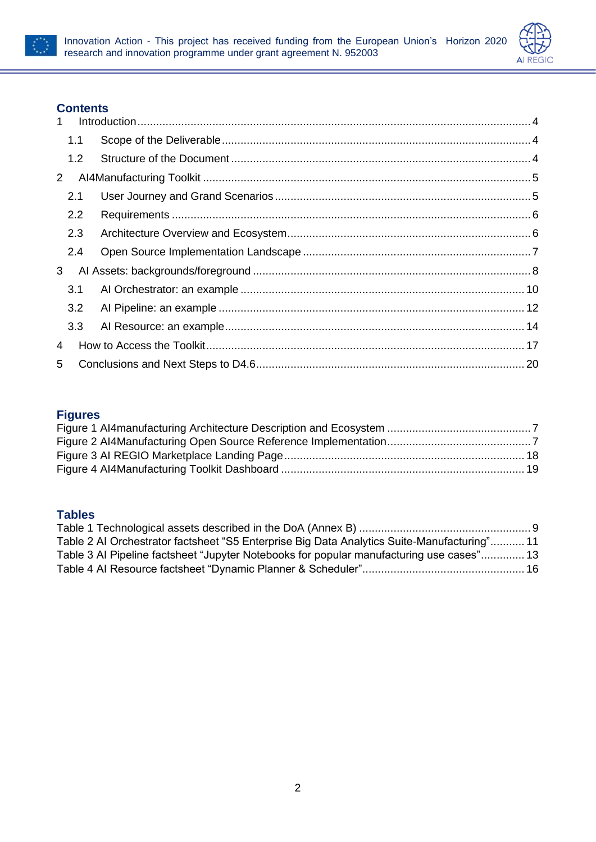



#### **Contents**

| $\mathbf 1$           |     |  |  |
|-----------------------|-----|--|--|
|                       | 1.1 |  |  |
|                       | 1.2 |  |  |
| $\mathbf{2}^{\prime}$ |     |  |  |
|                       | 2.1 |  |  |
|                       | 2.2 |  |  |
|                       | 2.3 |  |  |
|                       | 2.4 |  |  |
| 3                     |     |  |  |
|                       | 3.1 |  |  |
|                       | 3.2 |  |  |
|                       | 3.3 |  |  |
| 4                     |     |  |  |
| 5                     |     |  |  |

### **Figures**

#### **Tables**

| Table 2 AI Orchestrator factsheet "S5 Enterprise Big Data Analytics Suite-Manufacturing" 11 |  |
|---------------------------------------------------------------------------------------------|--|
| Table 3 AI Pipeline factsheet "Jupyter Notebooks for popular manufacturing use cases" 13    |  |
|                                                                                             |  |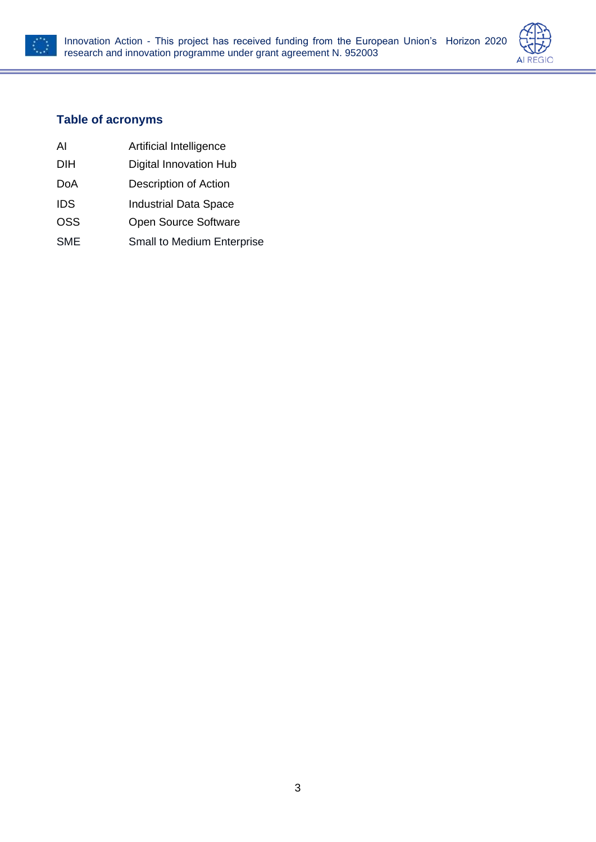



#### **Table of acronyms**

- AI Artificial Intelligence
- DIH Digital Innovation Hub
- DoA Description of Action
- IDS Industrial Data Space
- OSS Open Source Software
- SME Small to Medium Enterprise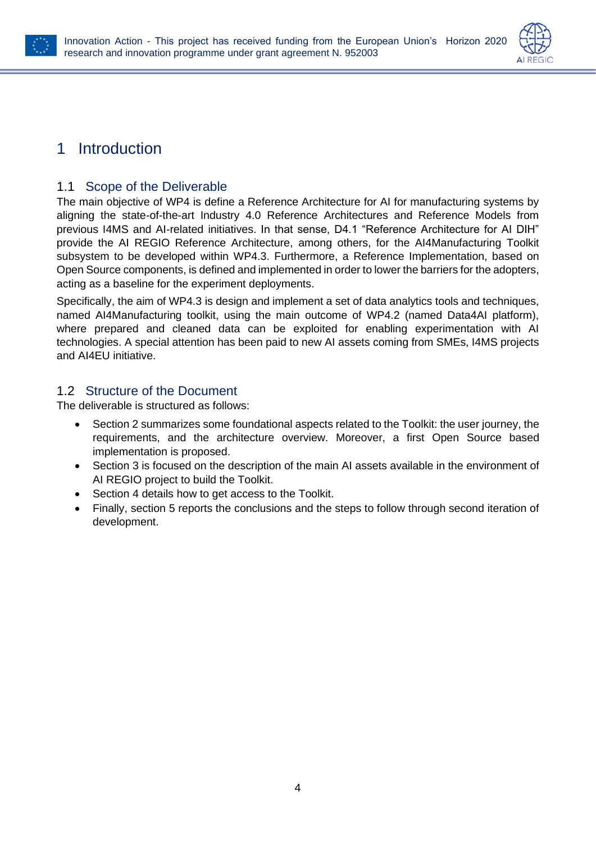



### <span id="page-4-1"></span><span id="page-4-0"></span>1 Introduction

#### 1.1 Scope of the Deliverable

The main objective of WP4 is define a Reference Architecture for AI for manufacturing systems by aligning the state-of-the-art Industry 4.0 Reference Architectures and Reference Models from previous I4MS and AI-related initiatives. In that sense, D4.1 "Reference Architecture for AI DIH" provide the AI REGIO Reference Architecture, among others, for the AI4Manufacturing Toolkit subsystem to be developed within WP4.3. Furthermore, a Reference Implementation, based on Open Source components, is defined and implemented in order to lower the barriers for the adopters, acting as a baseline for the experiment deployments.

Specifically, the aim of WP4.3 is design and implement a set of data analytics tools and techniques, named AI4Manufacturing toolkit, using the main outcome of WP4.2 (named Data4AI platform), where prepared and cleaned data can be exploited for enabling experimentation with AI technologies. A special attention has been paid to new AI assets coming from SMEs, I4MS projects and AI4EU initiative.

#### <span id="page-4-2"></span>1.2 Structure of the Document

The deliverable is structured as follows:

- Section [2](#page-5-0) summarizes some foundational aspects related to the Toolkit: the user journey, the requirements, and the architecture overview. Moreover, a first Open Source based implementation is proposed.
- Section [3](#page-8-0) is focused on the description of the main AI assets available in the environment of AI REGIO project to build the Toolkit.
- Section [4](#page-17-0) details how to get access to the Toolkit.
- Finally, section [5](#page-20-0) reports the conclusions and the steps to follow through second iteration of development.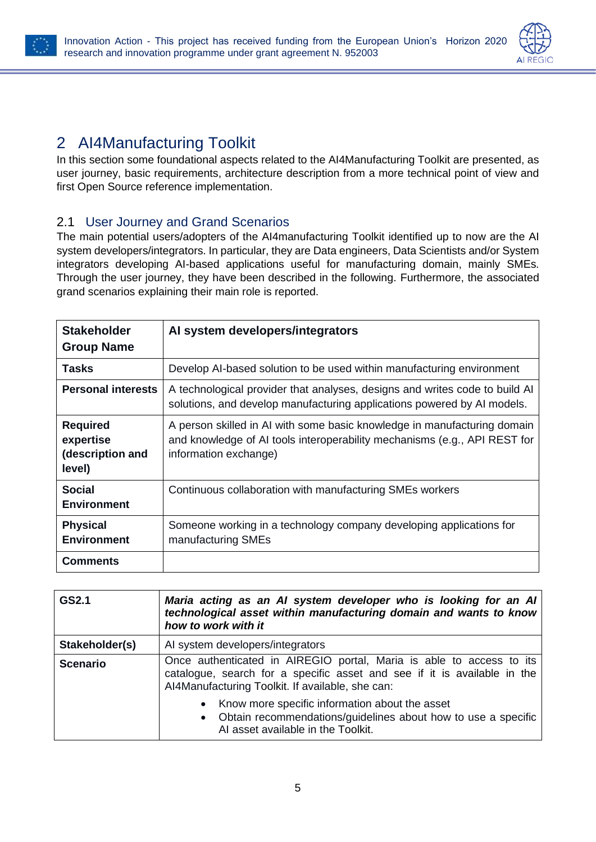



## <span id="page-5-0"></span>2 AI4Manufacturing Toolkit

In this section some foundational aspects related to the AI4Manufacturing Toolkit are presented, as user journey, basic requirements, architecture description from a more technical point of view and first Open Source reference implementation.

#### <span id="page-5-1"></span>2.1 User Journey and Grand Scenarios

The main potential users/adopters of the AI4manufacturing Toolkit identified up to now are the AI system developers/integrators. In particular, they are Data engineers, Data Scientists and/or System integrators developing AI-based applications useful for manufacturing domain, mainly SMEs. Through the user journey, they have been described in the following. Furthermore, the associated grand scenarios explaining their main role is reported.

| <b>Stakeholder</b><br><b>Group Name</b>                    | Al system developers/integrators                                                                                                                                               |
|------------------------------------------------------------|--------------------------------------------------------------------------------------------------------------------------------------------------------------------------------|
| Tasks                                                      | Develop AI-based solution to be used within manufacturing environment                                                                                                          |
| <b>Personal interests</b>                                  | A technological provider that analyses, designs and writes code to build Al<br>solutions, and develop manufacturing applications powered by AI models.                         |
| <b>Required</b><br>expertise<br>(description and<br>level) | A person skilled in AI with some basic knowledge in manufacturing domain<br>and knowledge of AI tools interoperability mechanisms (e.g., API REST for<br>information exchange) |
| <b>Social</b><br><b>Environment</b>                        | Continuous collaboration with manufacturing SMEs workers                                                                                                                       |
| <b>Physical</b><br><b>Environment</b>                      | Someone working in a technology company developing applications for<br>manufacturing SMEs                                                                                      |
| <b>Comments</b>                                            |                                                                                                                                                                                |

| GS2.1           | Maria acting as an AI system developer who is looking for an AI<br>technological asset within manufacturing domain and wants to know<br>how to work with it                                          |  |  |
|-----------------|------------------------------------------------------------------------------------------------------------------------------------------------------------------------------------------------------|--|--|
| Stakeholder(s)  | AI system developers/integrators                                                                                                                                                                     |  |  |
| <b>Scenario</b> | Once authenticated in AIREGIO portal, Maria is able to access to its<br>catalogue, search for a specific asset and see if it is available in the<br>Al4Manufacturing Toolkit. If available, she can: |  |  |
|                 | Know more specific information about the asset<br>• Obtain recommendations/guidelines about how to use a specific<br>AI asset available in the Toolkit.                                              |  |  |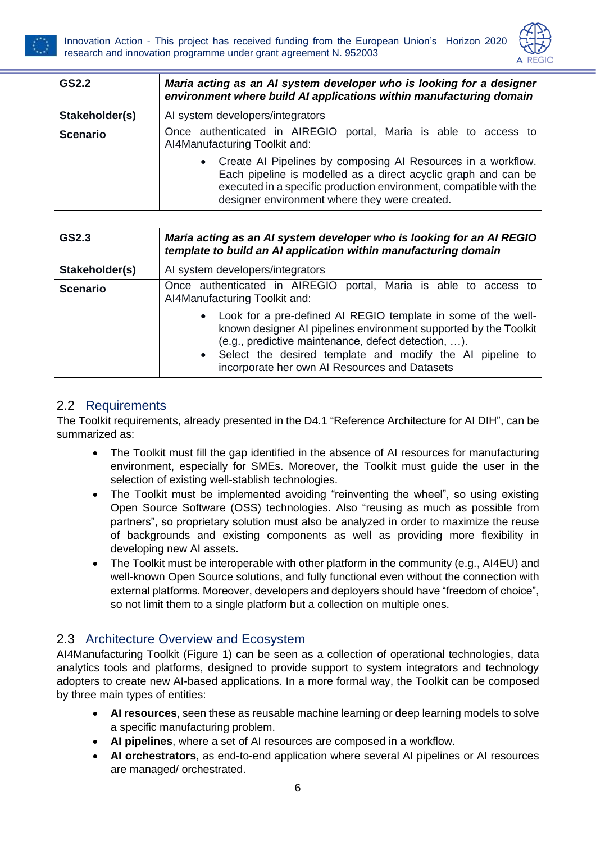



| GS2.2           | Maria acting as an AI system developer who is looking for a designer<br>environment where build AI applications within manufacturing domain                                                                                                                        |  |  |  |
|-----------------|--------------------------------------------------------------------------------------------------------------------------------------------------------------------------------------------------------------------------------------------------------------------|--|--|--|
| Stakeholder(s)  | AI system developers/integrators                                                                                                                                                                                                                                   |  |  |  |
| <b>Scenario</b> | Once authenticated in AIREGIO<br>portal, Maria is able to access to<br>AI4Manufacturing Toolkit and:                                                                                                                                                               |  |  |  |
|                 | Create AI Pipelines by composing AI Resources in a workflow.<br>$\bullet$<br>Each pipeline is modelled as a direct acyclic graph and can be<br>executed in a specific production environment, compatible with the<br>designer environment where they were created. |  |  |  |

| GS2.3           | Maria acting as an AI system developer who is looking for an AI REGIO<br>template to build an AI application within manufacturing domain                                                                                                                                                                                                                                                                        |  |  |
|-----------------|-----------------------------------------------------------------------------------------------------------------------------------------------------------------------------------------------------------------------------------------------------------------------------------------------------------------------------------------------------------------------------------------------------------------|--|--|
| Stakeholder(s)  | AI system developers/integrators                                                                                                                                                                                                                                                                                                                                                                                |  |  |
| <b>Scenario</b> | Once authenticated in AIREGIO portal, Maria is able to access to<br>AI4Manufacturing Toolkit and:<br>• Look for a pre-defined AI REGIO template in some of the well-<br>known designer AI pipelines environment supported by the Toolkit<br>(e.g., predictive maintenance, defect detection, ).<br>• Select the desired template and modify the AI pipeline to<br>incorporate her own AI Resources and Datasets |  |  |

#### <span id="page-6-0"></span>2.2 Requirements

The Toolkit requirements, already presented in the D4.1 "Reference Architecture for AI DIH", can be summarized as:

- The Toolkit must fill the gap identified in the absence of AI resources for manufacturing environment, especially for SMEs. Moreover, the Toolkit must guide the user in the selection of existing well-stablish technologies.
- The Toolkit must be implemented avoiding "reinventing the wheel", so using existing Open Source Software (OSS) technologies. Also "reusing as much as possible from partners", so proprietary solution must also be analyzed in order to maximize the reuse of backgrounds and existing components as well as providing more flexibility in developing new AI assets.
- The Toolkit must be interoperable with other platform in the community (e.g., AI4EU) and well-known Open Source solutions, and fully functional even without the connection with external platforms. Moreover, developers and deployers should have "freedom of choice", so not limit them to a single platform but a collection on multiple ones.

#### <span id="page-6-1"></span>2.3 Architecture Overview and Ecosystem

AI4Manufacturing Toolkit [\(Figure 1\)](#page-7-1) can be seen as a collection of operational technologies, data analytics tools and platforms, designed to provide support to system integrators and technology adopters to create new AI-based applications. In a more formal way, the Toolkit can be composed by three main types of entities:

- **AI resources**, seen these as reusable machine learning or deep learning models to solve a specific manufacturing problem.
- **AI pipelines**, where a set of AI resources are composed in a workflow.
- **AI orchestrators**, as end-to-end application where several AI pipelines or AI resources are managed/ orchestrated.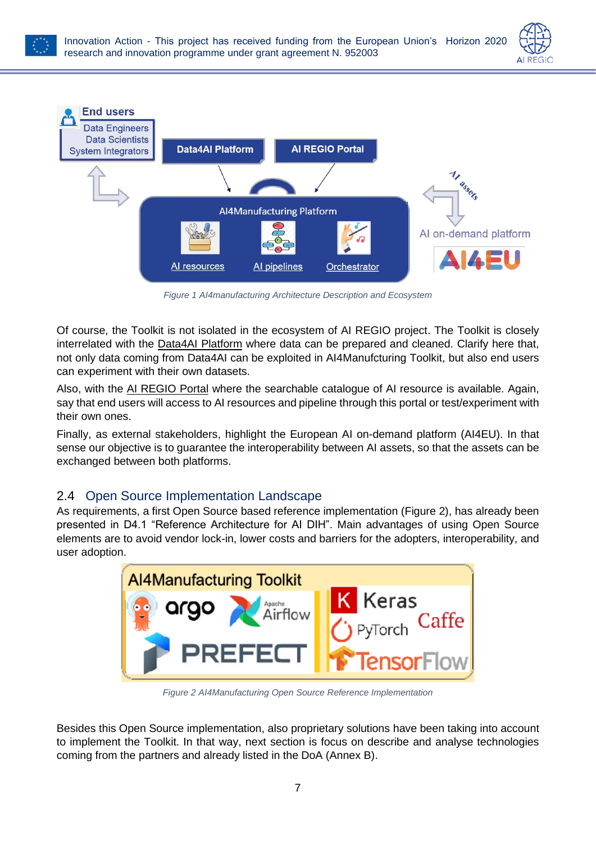



*Figure 1 AI4manufacturing Architecture Description and Ecosystem*

<span id="page-7-1"></span>Of course, the Toolkit is not isolated in the ecosystem of AI REGIO project. The Toolkit is closely interrelated with the Data4AI Platform where data can be prepared and cleaned. Clarify here that, not only data coming from Data4AI can be exploited in AI4Manufcturing Toolkit, but also end users can experiment with their own datasets.

Also, with the AI REGIO Portal where the searchable catalogue of AI resource is available. Again, say that end users will access to AI resources and pipeline through this portal or test/experiment with their own ones.

Finally, as external stakeholders, highlight the European AI on-demand platform (AI4EU). In that sense our objective is to guarantee the interoperability between AI assets, so that the assets can be exchanged between both platforms.

#### <span id="page-7-0"></span>2.4 Open Source Implementation Landscape

As requirements, a first Open Source based reference implementation [\(Figure 2\)](#page-7-2), has already been presented in D4.1 "Reference Architecture for AI DIH". Main advantages of using Open Source elements are to avoid vendor lock-in, lower costs and barriers for the adopters, interoperability, and user adoption.



*Figure 2 AI4Manufacturing Open Source Reference Implementation*

<span id="page-7-2"></span>Besides this Open Source implementation, also proprietary solutions have been taking into account to implement the Toolkit. In that way, next section is focus on describe and analyse technologies coming from the partners and already listed in the DoA (Annex B).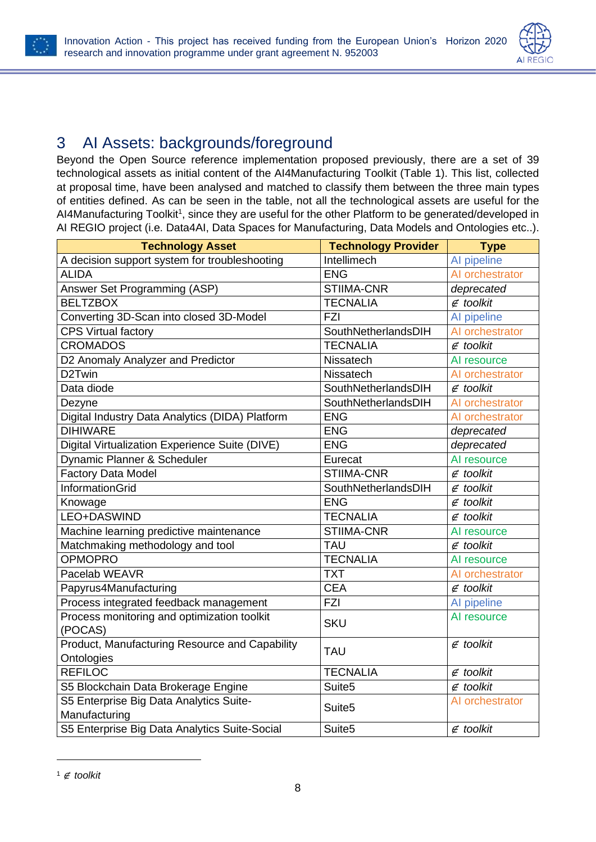



### <span id="page-8-0"></span>3 AI Assets: backgrounds/foreground

Beyond the Open Source reference implementation proposed previously, there are a set of 39 technological assets as initial content of the AI4Manufacturing Toolkit [\(Table 1\)](#page-9-0). This list, collected at proposal time, have been analysed and matched to classify them between the three main types of entities defined. As can be seen in the table, not all the technological assets are useful for the AI4Manufacturing Toolkit<sup>1</sup>, since they are useful for the other Platform to be generated/developed in AI REGIO project (i.e. Data4AI, Data Spaces for Manufacturing, Data Models and Ontologies etc..).

| <b>Technology Asset</b>                                      | <b>Technology Provider</b> | <b>Type</b>       |
|--------------------------------------------------------------|----------------------------|-------------------|
| A decision support system for troubleshooting                | Intellimech                | Al pipeline       |
| <b>ALIDA</b>                                                 | <b>ENG</b>                 | AI orchestrator   |
| Answer Set Programming (ASP)                                 | STIIMA-CNR                 | deprecated        |
| <b>BELTZBOX</b>                                              | <b>TECNALIA</b>            | $\notin$ toolkit  |
| Converting 3D-Scan into closed 3D-Model                      | <b>FZI</b>                 | Al pipeline       |
| <b>CPS Virtual factory</b>                                   | SouthNetherlandsDIH        | Al orchestrator   |
| <b>CROMADOS</b>                                              | <b>TECNALIA</b>            | $\notin$ toolkit  |
| D2 Anomaly Analyzer and Predictor                            | Nissatech                  | Al resource       |
| D2Twin                                                       | Nissatech                  | Al orchestrator   |
| Data diode                                                   | SouthNetherlandsDIH        | $\notin$ toolkit  |
| Dezyne                                                       | SouthNetherlandsDIH        | Al orchestrator   |
| Digital Industry Data Analytics (DIDA) Platform              | <b>ENG</b>                 | Al orchestrator   |
| <b>DIHIWARE</b>                                              | <b>ENG</b>                 | deprecated        |
| Digital Virtualization Experience Suite (DIVE)               | <b>ENG</b>                 | deprecated        |
| Dynamic Planner & Scheduler                                  | Eurecat                    | Al resource       |
| <b>Factory Data Model</b>                                    | <b>STIIMA-CNR</b>          | $\notin$ toolkit  |
| InformationGrid                                              | SouthNetherlandsDIH        | $\notin$ toolkit  |
| Knowage                                                      | <b>ENG</b>                 | $\not\in$ toolkit |
| LEO+DASWIND                                                  | <b>TECNALIA</b>            | $\notin$ toolkit  |
| Machine learning predictive maintenance                      | <b>STIIMA-CNR</b>          | Al resource       |
| Matchmaking methodology and tool                             | <b>TAU</b>                 | $\notin$ toolkit  |
| <b>OPMOPRO</b>                                               | <b>TECNALIA</b>            | Al resource       |
| Pacelab WEAVR                                                | <b>TXT</b>                 | Al orchestrator   |
| Papyrus4Manufacturing                                        | <b>CEA</b>                 | $\notin$ toolkit  |
| Process integrated feedback management                       | <b>FZI</b>                 | Al pipeline       |
| Process monitoring and optimization toolkit<br>(POCAS)       | <b>SKU</b>                 | Al resource       |
| Product, Manufacturing Resource and Capability<br>Ontologies | <b>TAU</b>                 | $\notin$ toolkit  |
| <b>REFILOC</b>                                               | <b>TECNALIA</b>            | $\notin$ toolkit  |
| S5 Blockchain Data Brokerage Engine                          | Suite <sub>5</sub>         | $\notin$ toolkit  |
| S5 Enterprise Big Data Analytics Suite-                      |                            | Al orchestrator   |
| Manufacturing                                                | Suite <sub>5</sub>         |                   |
| S5 Enterprise Big Data Analytics Suite-Social                | Suite <sub>5</sub>         | $\notin$ toolkit  |

<sup>1</sup> ∉ *toolkit*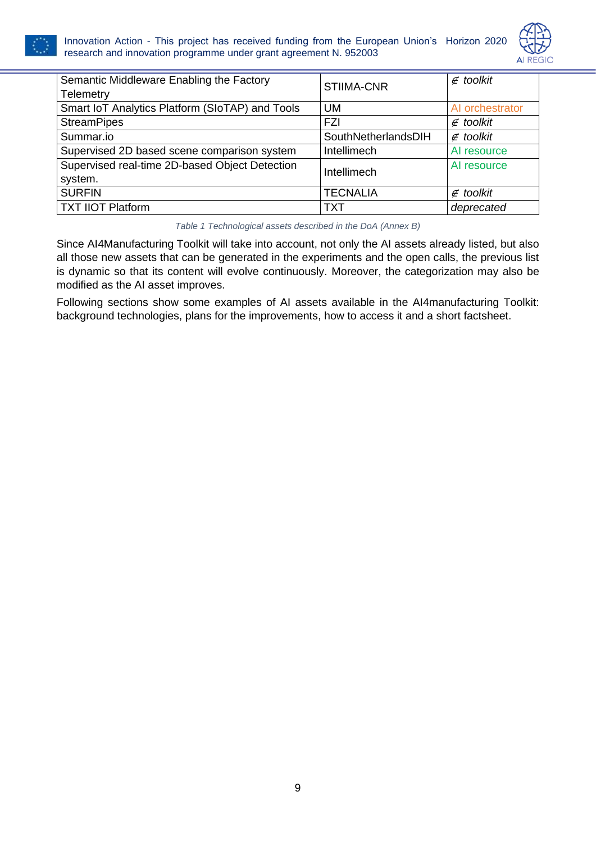



| Semantic Middleware Enabling the Factory<br><b>Telemetry</b> | <b>STIIMA-CNR</b>   | $\notin$ toolkit |
|--------------------------------------------------------------|---------------------|------------------|
| Smart IoT Analytics Platform (SIoTAP) and Tools              | UM                  | Al orchestrator  |
| <b>StreamPipes</b>                                           | FZI                 | $\notin$ toolkit |
| Summar.io                                                    | SouthNetherlandsDIH | $\notin$ toolkit |
| Supervised 2D based scene comparison system                  | Intellimech         | Al resource      |
| Supervised real-time 2D-based Object Detection<br>system.    | Intellimech         | Al resource      |
| <b>SURFIN</b>                                                | <b>TECNALIA</b>     | $\notin$ toolkit |
| <b>TXT IIOT Platform</b>                                     | TXT                 | deprecated       |

*Table 1 Technological assets described in the DoA (Annex B)*

<span id="page-9-0"></span>Since AI4Manufacturing Toolkit will take into account, not only the AI assets already listed, but also all those new assets that can be generated in the experiments and the open calls, the previous list is dynamic so that its content will evolve continuously. Moreover, the categorization may also be modified as the AI asset improves.

Following sections show some examples of AI assets available in the AI4manufacturing Toolkit: background technologies, plans for the improvements, how to access it and a short factsheet.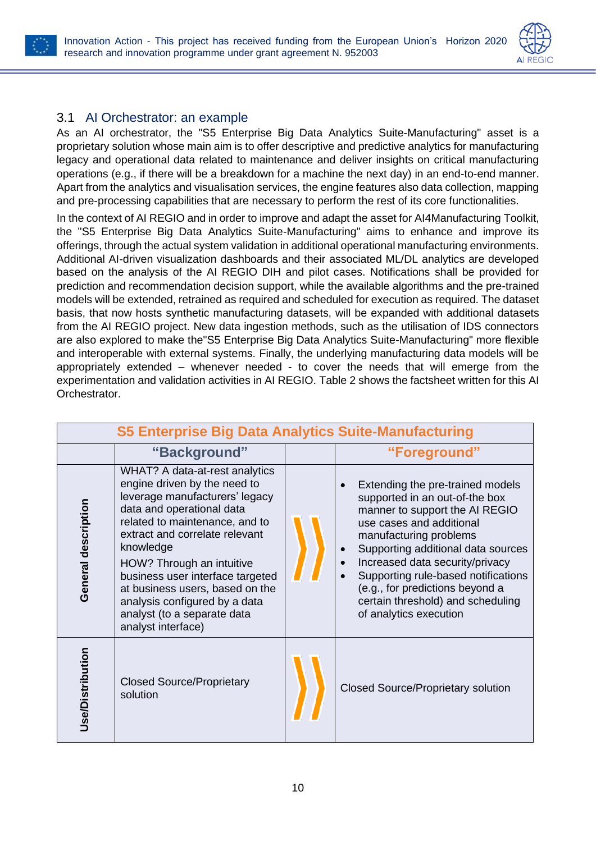



#### <span id="page-10-0"></span>3.1 AI Orchestrator: an example

As an AI orchestrator, the "S5 Enterprise Big Data Analytics Suite-Manufacturing" asset is a proprietary solution whose main aim is to offer descriptive and predictive analytics for manufacturing legacy and operational data related to maintenance and deliver insights on critical manufacturing operations (e.g., if there will be a breakdown for a machine the next day) in an end-to-end manner. Apart from the analytics and visualisation services, the engine features also data collection, mapping and pre-processing capabilities that are necessary to perform the rest of its core functionalities.

In the context of AI REGIO and in order to improve and adapt the asset for AI4Manufacturing Toolkit, the "S5 Enterprise Big Data Analytics Suite-Manufacturing" aims to enhance and improve its offerings, through the actual system validation in additional operational manufacturing environments. Additional AI-driven visualization dashboards and their associated ML/DL analytics are developed based on the analysis of the AI REGIO DIH and pilot cases. Notifications shall be provided for prediction and recommendation decision support, while the available algorithms and the pre-trained models will be extended, retrained as required and scheduled for execution as required. The dataset basis, that now hosts synthetic manufacturing datasets, will be expanded with additional datasets from the AI REGIO project. New data ingestion methods, such as the utilisation of IDS connectors are also explored to make the"S5 Enterprise Big Data Analytics Suite-Manufacturing" more flexible and interoperable with external systems. Finally, the underlying manufacturing data models will be appropriately extended – whenever needed - to cover the needs that will emerge from the experimentation and validation activities in AI REGIO. [Table 2](#page-11-0) shows the factsheet written for this AI Orchestrator.

| <b>S5 Enterprise Big Data Analytics Suite-Manufacturing</b> |                                                                                                                                                                                                                                                                                                                                                                                                          |  |                                                                                                                                                                                                                                                                                                                                                                              |  |
|-------------------------------------------------------------|----------------------------------------------------------------------------------------------------------------------------------------------------------------------------------------------------------------------------------------------------------------------------------------------------------------------------------------------------------------------------------------------------------|--|------------------------------------------------------------------------------------------------------------------------------------------------------------------------------------------------------------------------------------------------------------------------------------------------------------------------------------------------------------------------------|--|
|                                                             | "Background"                                                                                                                                                                                                                                                                                                                                                                                             |  | "Foreground"                                                                                                                                                                                                                                                                                                                                                                 |  |
| General description                                         | WHAT? A data-at-rest analytics<br>engine driven by the need to<br>leverage manufacturers' legacy<br>data and operational data<br>related to maintenance, and to<br>extract and correlate relevant<br>knowledge<br>HOW? Through an intuitive<br>business user interface targeted<br>at business users, based on the<br>analysis configured by a data<br>analyst (to a separate data<br>analyst interface) |  | Extending the pre-trained models<br>supported in an out-of-the box<br>manner to support the AI REGIO<br>use cases and additional<br>manufacturing problems<br>Supporting additional data sources<br>Increased data security/privacy<br>Supporting rule-based notifications<br>(e.g., for predictions beyond a<br>certain threshold) and scheduling<br>of analytics execution |  |
| <b>Jse/Distribution</b>                                     | <b>Closed Source/Proprietary</b><br>solution                                                                                                                                                                                                                                                                                                                                                             |  | <b>Closed Source/Proprietary solution</b>                                                                                                                                                                                                                                                                                                                                    |  |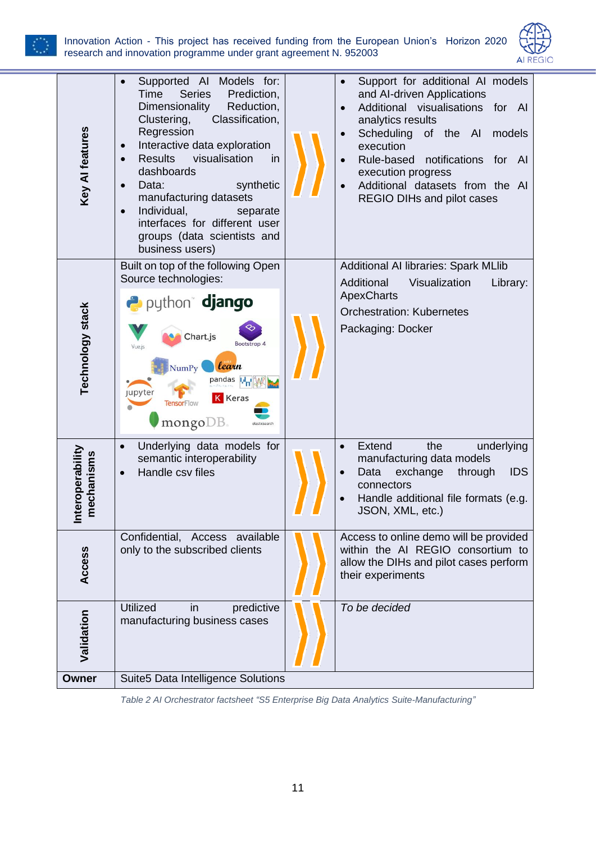

#### Innovation Action - This project has received funding from the European Union's Horizon 2020 research and innovation programme under grant agreement N. 952003



| Key Al features                           | Supported AI<br>Models for:<br>$\bullet$<br>Time<br><b>Series</b><br>Prediction,<br>Dimensionality<br>Reduction,<br>Classification,<br>Clustering,<br>Regression<br>Interactive data exploration<br>$\bullet$<br><b>Results</b><br>visualisation<br>in<br>$\bullet$<br>dashboards<br>synthetic<br>Data:<br>$\bullet$<br>manufacturing datasets<br>Individual,<br>separate<br>$\bullet$<br>interfaces for different user<br>groups (data scientists and<br>business users) |  | Support for additional AI models<br>and Al-driven Applications<br>Additional visualisations<br>for Al<br>analytics results<br>Scheduling<br>of the AI<br>models<br>execution<br>Rule-based<br>notifications<br>for Al<br>execution progress<br>Additional datasets from the AI<br>REGIO DIHs and pilot cases |
|-------------------------------------------|---------------------------------------------------------------------------------------------------------------------------------------------------------------------------------------------------------------------------------------------------------------------------------------------------------------------------------------------------------------------------------------------------------------------------------------------------------------------------|--|--------------------------------------------------------------------------------------------------------------------------------------------------------------------------------------------------------------------------------------------------------------------------------------------------------------|
| Technology stack                          | Built on top of the following Open<br>Source technologies:<br>a python django<br>Chart.js<br>Bootstrap 4<br>Vue.is<br>learn<br><b>NumPy</b><br>pandas M <sub>II</sub> I<br><b>Jupyter</b><br><b>K</b> Keras<br><b>TensorFlow</b><br>$\mathbf{mongo} \mathbf{DB}$                                                                                                                                                                                                          |  | <b>Additional AI libraries: Spark MLIib</b><br>Visualization<br>Additional<br>Library:<br><b>ApexCharts</b><br><b>Orchestration: Kubernetes</b><br>Packaging: Docker                                                                                                                                         |
| <b>nteroperability</b><br>mechanisms<br>≐ | Underlying data models for<br>$\bullet$<br>semantic interoperability<br>Handle csy files<br>$\bullet$                                                                                                                                                                                                                                                                                                                                                                     |  | Extend<br>the<br>underlying<br>$\bullet$<br>manufacturing data models<br>Data<br>exchange<br><b>IDS</b><br>through<br>$\bullet$<br>connectors<br>Handle additional file formats (e.g.<br>JSON, XML, etc.)                                                                                                    |
| Access                                    | Confidential, Access available<br>only to the subscribed clients                                                                                                                                                                                                                                                                                                                                                                                                          |  | Access to online demo will be provided<br>within the AI REGIO consortium to<br>allow the DIHs and pilot cases perform<br>their experiments                                                                                                                                                                   |
| Validation                                | <b>Utilized</b><br>predictive<br>in<br>manufacturing business cases                                                                                                                                                                                                                                                                                                                                                                                                       |  | To be decided                                                                                                                                                                                                                                                                                                |
| <b>Owner</b>                              | Suite5 Data Intelligence Solutions                                                                                                                                                                                                                                                                                                                                                                                                                                        |  |                                                                                                                                                                                                                                                                                                              |

<span id="page-11-0"></span>*Table 2 AI Orchestrator factsheet "S5 Enterprise Big Data Analytics Suite-Manufacturing"*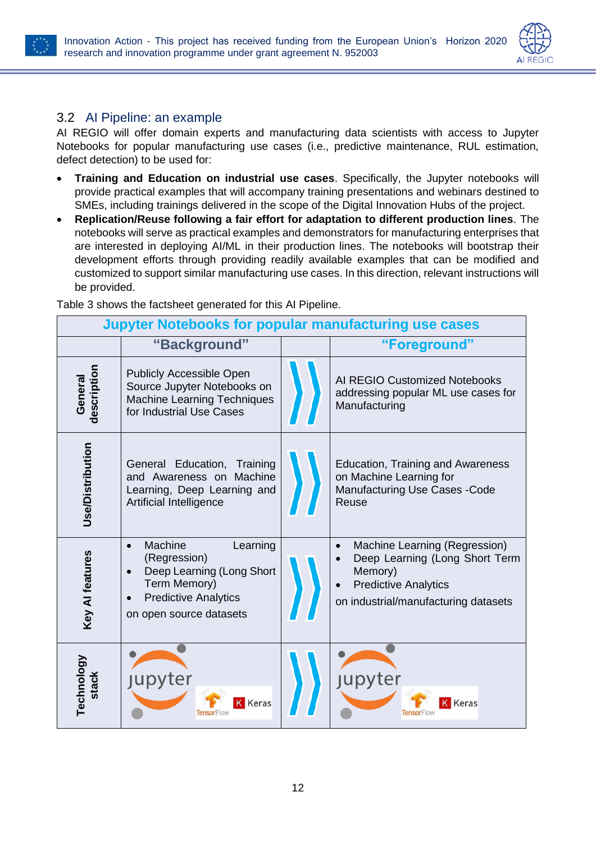

**Contract Contract** 



#### <span id="page-12-0"></span>3.2 AI Pipeline: an example

AI REGIO will offer domain experts and manufacturing data scientists with access to Jupyter Notebooks for popular manufacturing use cases (i.e., predictive maintenance, RUL estimation, defect detection) to be used for:

- **Training and Education on industrial use cases**. Specifically, the Jupyter notebooks will provide practical examples that will accompany training presentations and webinars destined to SMEs, including trainings delivered in the scope of the Digital Innovation Hubs of the project.
- **Replication/Reuse following a fair effort for adaptation to different production lines**. The notebooks will serve as practical examples and demonstrators for manufacturing enterprises that are interested in deploying AI/ML in their production lines. The notebooks will bootstrap their development efforts through providing readily available examples that can be modified and customized to support similar manufacturing use cases. In this direction, relevant instructions will be provided.

**Jupyter Notebooks for popular manufacturing use cases**

| <b>Jupyler Notebooks for popular manufacturing use cases</b> |                                                                                                                                                                      |  |                                                                                                                                                   |
|--------------------------------------------------------------|----------------------------------------------------------------------------------------------------------------------------------------------------------------------|--|---------------------------------------------------------------------------------------------------------------------------------------------------|
|                                                              | "Background"                                                                                                                                                         |  | "Foreground"                                                                                                                                      |
| description<br>General                                       | <b>Publicly Accessible Open</b><br>Source Jupyter Notebooks on<br><b>Machine Learning Techniques</b><br>for Industrial Use Cases                                     |  | AI REGIO Customized Notebooks<br>addressing popular ML use cases for<br>Manufacturing                                                             |
| Use/Distribution                                             | General Education,<br>Training<br>and Awareness on Machine<br>Learning, Deep Learning and<br>Artificial Intelligence                                                 |  | Education, Training and Awareness<br>on Machine Learning for<br><b>Manufacturing Use Cases - Code</b><br>Reuse                                    |
| Key Al features                                              | Machine<br>Learning<br>$\bullet$<br>(Regression)<br>Deep Learning (Long Short<br>$\bullet$<br>Term Memory)<br><b>Predictive Analytics</b><br>on open source datasets |  | Machine Learning (Regression)<br>Deep Learning (Long Short Term<br>Memory)<br><b>Predictive Analytics</b><br>on industrial/manufacturing datasets |
| Technology<br>stack                                          | <b>Jupyter</b><br><b>K</b> Keras                                                                                                                                     |  | <b>Jupyter</b><br>Keras                                                                                                                           |

[Table 3](#page-13-0) shows the factsheet generated for this AI Pipeline.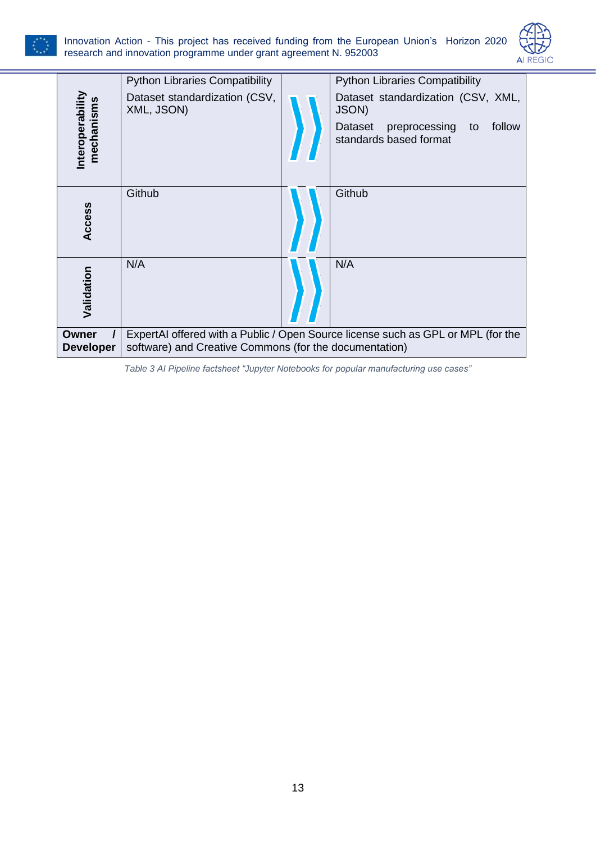



|                              | <b>Python Libraries Compatibility</b>                                                                                                      |  | <b>Python Libraries Compatibility</b>                                                                                    |
|------------------------------|--------------------------------------------------------------------------------------------------------------------------------------------|--|--------------------------------------------------------------------------------------------------------------------------|
| nteroperabilit<br>mechanisms | Dataset standardization (CSV,<br>XML, JSON)                                                                                                |  | Dataset standardization (CSV, XML,<br><b>JSON)</b><br>follow<br>Dataset<br>preprocessing<br>to<br>standards based format |
| Access                       | Github                                                                                                                                     |  | Github                                                                                                                   |
| Validation                   | N/A                                                                                                                                        |  | N/A                                                                                                                      |
| Owner<br><b>Developer</b>    | ExpertAI offered with a Public / Open Source license such as GPL or MPL (for the<br>software) and Creative Commons (for the documentation) |  |                                                                                                                          |

<span id="page-13-0"></span>*Table 3 AI Pipeline factsheet "Jupyter Notebooks for popular manufacturing use cases"*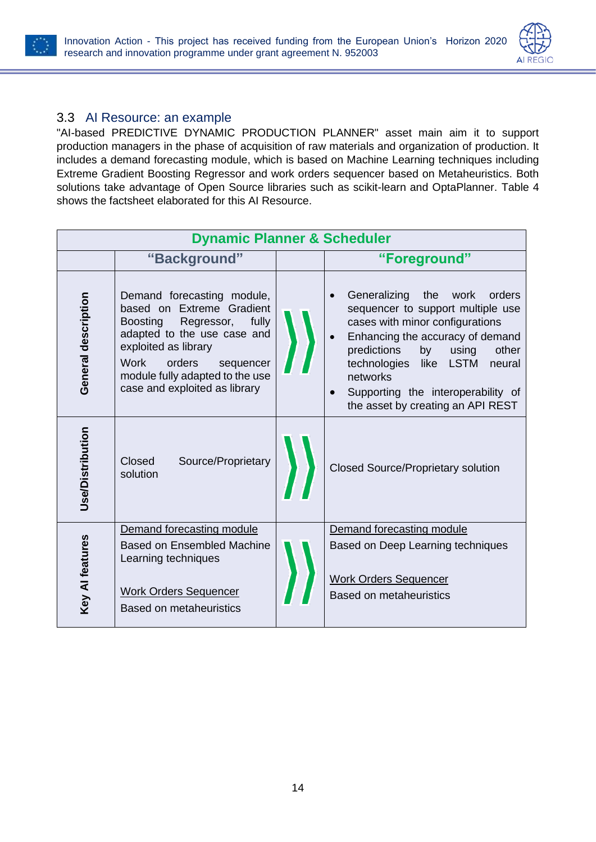



### <span id="page-14-0"></span>3.3 AI Resource: an example

"AI-based PREDICTIVE DYNAMIC PRODUCTION PLANNER" asset main aim it to support production managers in the phase of acquisition of raw materials and organization of production. It includes a demand forecasting module, which is based on Machine Learning techniques including Extreme Gradient Boosting Regressor and work orders sequencer based on Metaheuristics. Both solutions take advantage of Open Source libraries such as scikit-learn and OptaPlanner. [Table 4](#page-16-0) shows the factsheet elaborated for this AI Resource.

| <b>Dynamic Planner &amp; Scheduler</b> |                                                                                                                                                                                                                                                                    |  |                                                                                                                                                                                                                                                                                                                                               |
|----------------------------------------|--------------------------------------------------------------------------------------------------------------------------------------------------------------------------------------------------------------------------------------------------------------------|--|-----------------------------------------------------------------------------------------------------------------------------------------------------------------------------------------------------------------------------------------------------------------------------------------------------------------------------------------------|
|                                        | "Background"                                                                                                                                                                                                                                                       |  | "Foreground"                                                                                                                                                                                                                                                                                                                                  |
| General description                    | Demand forecasting module,<br>based on Extreme Gradient<br>fully<br><b>Boosting</b><br>Regressor,<br>adapted to the use case and<br>exploited as library<br><b>Work</b><br>orders<br>sequencer<br>module fully adapted to the use<br>case and exploited as library |  | Generalizing<br>the<br>work<br>orders<br>sequencer to support multiple use<br>cases with minor configurations<br>Enhancing the accuracy of demand<br>predictions<br>other<br>by<br>using<br>technologies<br><b>LSTM</b><br>like<br>neural<br>networks<br>Supporting the interoperability of<br>$\bullet$<br>the asset by creating an API REST |
| <b>Jse/Distribution</b>                | Closed<br>Source/Proprietary<br>solution                                                                                                                                                                                                                           |  | <b>Closed Source/Proprietary solution</b>                                                                                                                                                                                                                                                                                                     |
|                                        | Demand forecasting module                                                                                                                                                                                                                                          |  | Demand forecasting module                                                                                                                                                                                                                                                                                                                     |
| Key Al features                        | <b>Based on Ensembled Machine</b><br>Learning techniques                                                                                                                                                                                                           |  | Based on Deep Learning techniques                                                                                                                                                                                                                                                                                                             |
|                                        | <b>Work Orders Sequencer</b><br><b>Based on metaheuristics</b>                                                                                                                                                                                                     |  | <b>Work Orders Sequencer</b><br><b>Based on metaheuristics</b>                                                                                                                                                                                                                                                                                |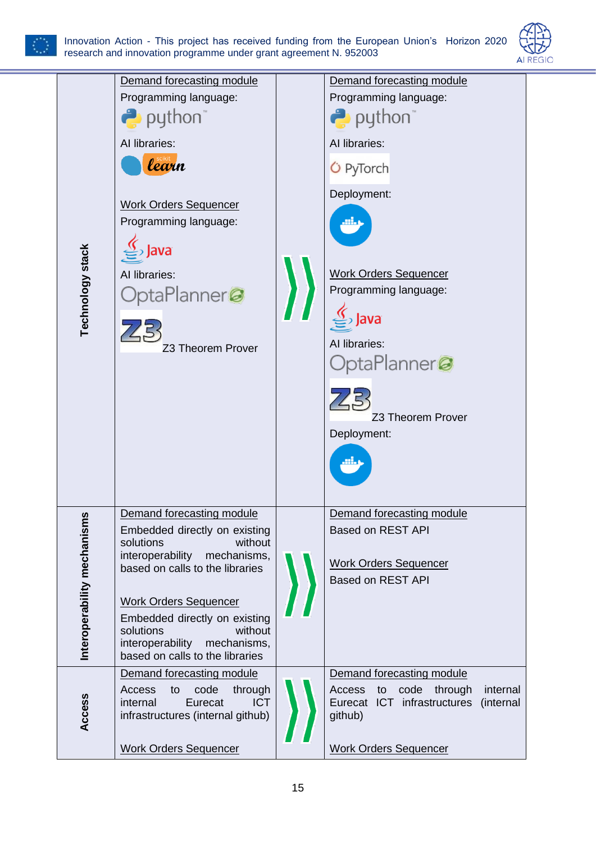



|                             | Demand forecasting module<br>Programming language:                                                                          |  | Demand forecasting module<br>Programming language:                                              |
|-----------------------------|-----------------------------------------------------------------------------------------------------------------------------|--|-------------------------------------------------------------------------------------------------|
|                             | puthon <sup>"</sup>                                                                                                         |  | <b>P</b> python                                                                                 |
|                             | Al libraries:                                                                                                               |  | Al libraries:                                                                                   |
|                             | learn                                                                                                                       |  | <b>O</b> PyTorch                                                                                |
|                             | <b>Work Orders Sequencer</b><br>Programming language:<br>lava                                                               |  | Deployment:                                                                                     |
| <b>Technology stack</b>     | Al libraries:<br>OptaPlanner@                                                                                               |  | <b>Work Orders Sequencer</b><br>Programming language:                                           |
|                             | Z3 Theorem Prover                                                                                                           |  | Al libraries:                                                                                   |
|                             |                                                                                                                             |  | OptaPlanner@                                                                                    |
|                             |                                                                                                                             |  |                                                                                                 |
|                             |                                                                                                                             |  | Z3 Theorem Prover<br>Deployment:                                                                |
|                             |                                                                                                                             |  |                                                                                                 |
|                             |                                                                                                                             |  |                                                                                                 |
|                             | Demand forecasting module<br>Embedded directly on existing                                                                  |  | Demand forecasting module<br><b>Based on REST API</b>                                           |
|                             | solutions<br>without<br>interoperability<br>mechanisms,                                                                     |  |                                                                                                 |
|                             | based on calls to the libraries                                                                                             |  | <b>Work Orders Sequencer</b><br><b>Based on REST API</b>                                        |
|                             | <b>Work Orders Sequencer</b>                                                                                                |  |                                                                                                 |
| Interoperability mechanisms | Embedded directly on existing<br>solutions<br>without<br>interoperability<br>mechanisms,<br>based on calls to the libraries |  |                                                                                                 |
|                             | Demand forecasting module                                                                                                   |  | Demand forecasting module                                                                       |
| Access                      | Access<br>code<br>through<br>to<br>internal<br>Eurecat<br><b>ICT</b><br>infrastructures (internal github)                   |  | code through<br>Access<br>internal<br>to<br>Eurecat ICT infrastructures<br>(internal<br>github) |
|                             | <b>Work Orders Sequencer</b>                                                                                                |  | <b>Work Orders Sequencer</b>                                                                    |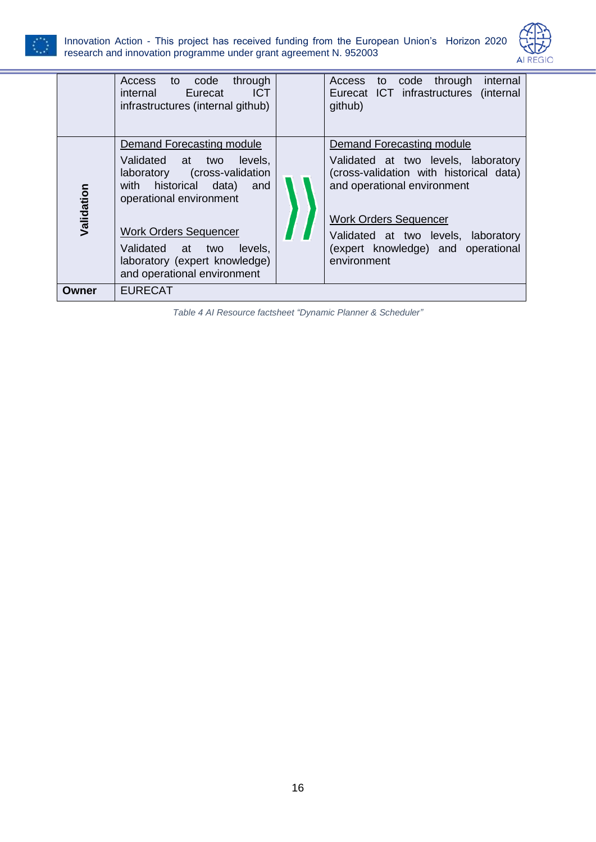



|            | through<br>code<br><b>Access</b><br>to<br><b>ICT</b><br>Eurecat<br>internal<br>infrastructures (internal github)                                                                                                                                                                               | through<br>internal<br><b>Access</b><br>code<br>to<br>Eurecat ICT infrastructures (internal<br>github)                                                                                                                                                                 |
|------------|------------------------------------------------------------------------------------------------------------------------------------------------------------------------------------------------------------------------------------------------------------------------------------------------|------------------------------------------------------------------------------------------------------------------------------------------------------------------------------------------------------------------------------------------------------------------------|
| Validation | Demand Forecasting module<br>levels.<br>Validated at<br>two<br>cross-validation)<br>laboratory<br>historical data)<br>with<br>and<br>operational environment<br><b>Work Orders Sequencer</b><br>Validated at<br>levels,<br>two<br>laboratory (expert knowledge)<br>and operational environment | Demand Forecasting module<br>Validated at two levels, laboratory<br>(cross-validation with historical data)<br>and operational environment<br><b>Work Orders Sequencer</b><br>Validated at two levels, laboratory<br>(expert knowledge) and operational<br>environment |
| Owner      | <b>EURECAT</b>                                                                                                                                                                                                                                                                                 |                                                                                                                                                                                                                                                                        |

<span id="page-16-0"></span>*Table 4 AI Resource factsheet "Dynamic Planner & Scheduler"*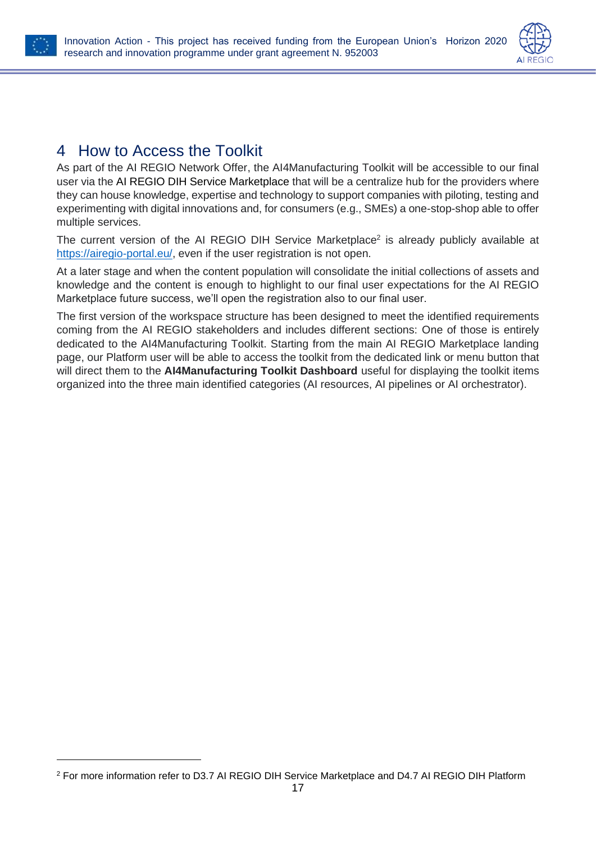



### <span id="page-17-0"></span>4 How to Access the Toolkit

As part of the AI REGIO Network Offer, the AI4Manufacturing Toolkit will be accessible to our final user via the AI REGIO DIH Service Marketplace that will be a centralize hub for the providers where they can house knowledge, expertise and technology to support companies with piloting, testing and experimenting with digital innovations and, for consumers (e.g., SMEs) a one-stop-shop able to offer multiple services.

The current version of the AI REGIO DIH Service Marketplace<sup>2</sup> is already publicly available at [https://airegio-portal.eu/,](https://airegio-portal.eu/) even if the user registration is not open.

At a later stage and when the content population will consolidate the initial collections of assets and knowledge and the content is enough to highlight to our final user expectations for the AI REGIO Marketplace future success, we'll open the registration also to our final user.

The first version of the workspace structure has been designed to meet the identified requirements coming from the AI REGIO stakeholders and includes different sections: One of those is entirely dedicated to the AI4Manufacturing Toolkit. Starting from the main AI REGIO Marketplace landing page, our Platform user will be able to access the toolkit from the dedicated link or menu button that will direct them to the **AI4Manufacturing Toolkit Dashboard** useful for displaying the toolkit items organized into the three main identified categories (AI resources, AI pipelines or AI orchestrator).

<sup>2</sup> For more information refer to D3.7 AI REGIO DIH Service Marketplace and D4.7 AI REGIO DIH Platform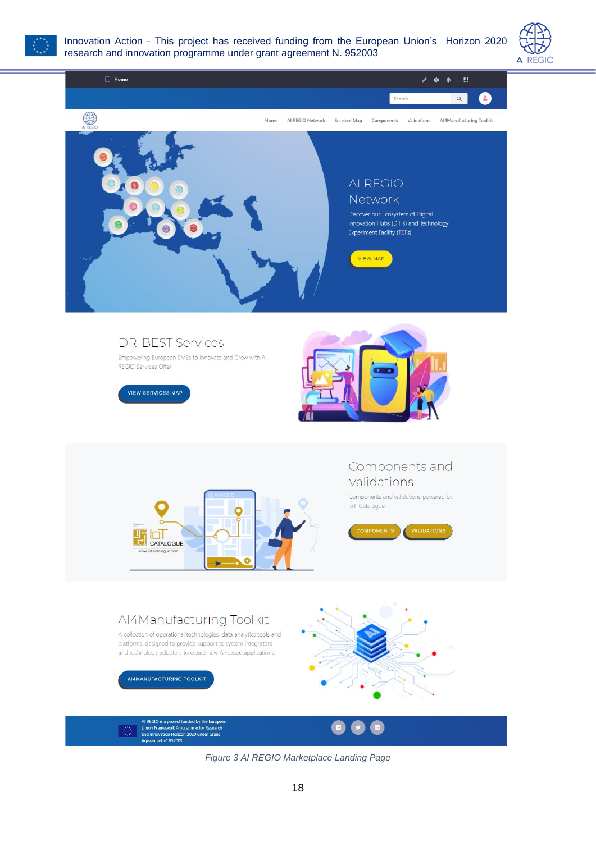

Innovation Action - This project has received funding from the European Union's Horizon 2020 research and innovation programme under grant agreement N. 952003



<span id="page-18-0"></span>

*Figure 3 AI REGIO Marketplace Landing Page*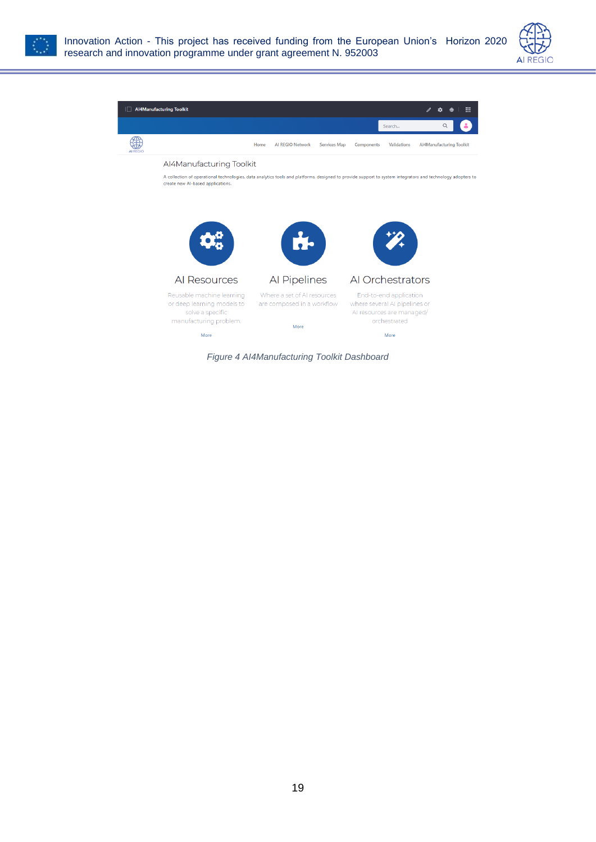





or deep learning models to

solve a specific

<span id="page-19-0"></span>manufacturing problem.

More



are composed in a workflow

More

where several AI pipelines or

Al resources are managed/

orchestrated

More